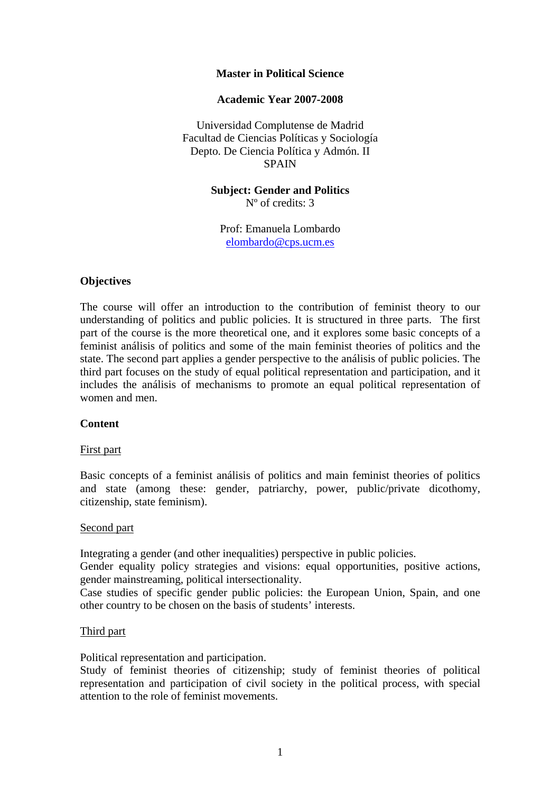# **Master in Political Science**

### **Academic Year 2007-2008**

Universidad Complutense de Madrid Facultad de Ciencias Políticas y Sociología Depto. De Ciencia Política y Admón. II SPAIN

# **Subject: Gender and Politics**  Nº of credits: 3

Prof: Emanuela Lombardo [elombardo@cps.ucm.es](mailto:elombardo@cps.ucm.es)

#### **Objectives**

The course will offer an introduction to the contribution of feminist theory to our understanding of politics and public policies. It is structured in three parts. The first part of the course is the more theoretical one, and it explores some basic concepts of a feminist análisis of politics and some of the main feminist theories of politics and the state. The second part applies a gender perspective to the análisis of public policies. The third part focuses on the study of equal political representation and participation, and it includes the análisis of mechanisms to promote an equal political representation of women and men.

### **Content**

#### First part

Basic concepts of a feminist análisis of politics and main feminist theories of politics and state (among these: gender, patriarchy, power, public/private dicothomy, citizenship, state feminism).

#### Second part

Integrating a gender (and other inequalities) perspective in public policies.

Gender equality policy strategies and visions: equal opportunities, positive actions, gender mainstreaming, political intersectionality.

Case studies of specific gender public policies: the European Union, Spain, and one other country to be chosen on the basis of students' interests.

#### Third part

Political representation and participation.

Study of feminist theories of citizenship; study of feminist theories of political representation and participation of civil society in the political process, with special attention to the role of feminist movements.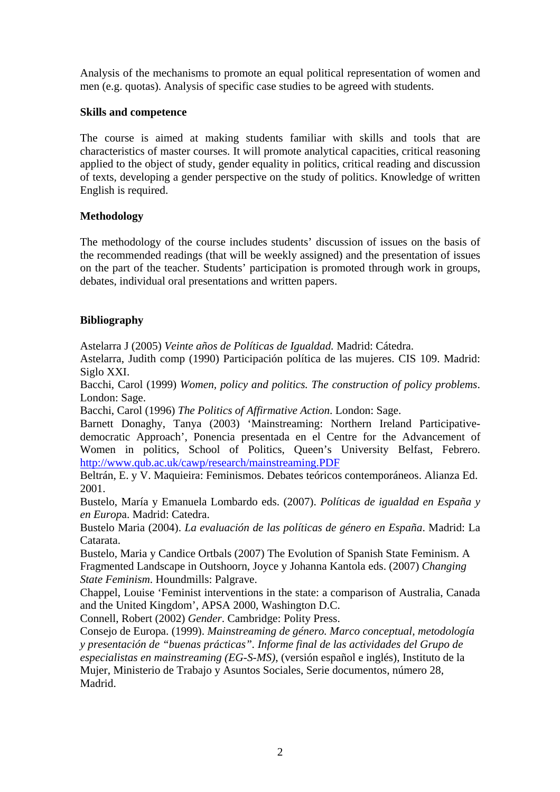Analysis of the mechanisms to promote an equal political representation of women and men (e.g. quotas). Analysis of specific case studies to be agreed with students.

# **Skills and competence**

The course is aimed at making students familiar with skills and tools that are characteristics of master courses. It will promote analytical capacities, critical reasoning applied to the object of study, gender equality in politics, critical reading and discussion of texts, developing a gender perspective on the study of politics. Knowledge of written English is required.

# **Methodology**

The methodology of the course includes students' discussion of issues on the basis of the recommended readings (that will be weekly assigned) and the presentation of issues on the part of the teacher. Students' participation is promoted through work in groups, debates, individual oral presentations and written papers.

# **Bibliography**

Astelarra J (2005) *Veinte años de Políticas de Igualdad.* Madrid: Cátedra.

Astelarra, Judith comp (1990) Participación política de las mujeres. CIS 109. Madrid: Siglo XXI.

Bacchi, Carol (1999) *Women, policy and politics. The construction of policy problems*. London: Sage.

Bacchi, Carol (1996) *The Politics of Affirmative Action*. London: Sage.

Barnett Donaghy, Tanya (2003) 'Mainstreaming: Northern Ireland Participativedemocratic Approach', Ponencia presentada en el Centre for the Advancement of Women in politics, School of Politics, Queen's University Belfast, Febrero. <http://www.qub.ac.uk/cawp/research/mainstreaming.PDF>

Beltrán, E. y V. Maquieira: Feminismos. Debates teóricos contemporáneos. Alianza Ed. 2001.

Bustelo, María y Emanuela Lombardo eds. (2007). *Políticas de igualdad en España y en Europ*a. Madrid: Catedra.

Bustelo Maria (2004). *La evaluación de las políticas de género en España*. Madrid: La Catarata.

Bustelo, Maria y Candice Ortbals (2007) The Evolution of Spanish State Feminism. A Fragmented Landscape in Outshoorn, Joyce y Johanna Kantola eds. (2007) *Changing State Feminism*. Houndmills: Palgrave.

Chappel, Louise 'Feminist interventions in the state: a comparison of Australia, Canada and the United Kingdom', APSA 2000, Washington D.C.

Connell, Robert (2002) *Gender*. Cambridge: Polity Press.

Consejo de Europa. (1999). *Mainstreaming de género. Marco conceptual, metodología y presentación de "buenas prácticas". Informe final de las actividades del Grupo de especialistas en mainstreaming (EG-S-MS)*, (versión español e inglés), Instituto de la Mujer, Ministerio de Trabajo y Asuntos Sociales, Serie documentos, número 28, Madrid.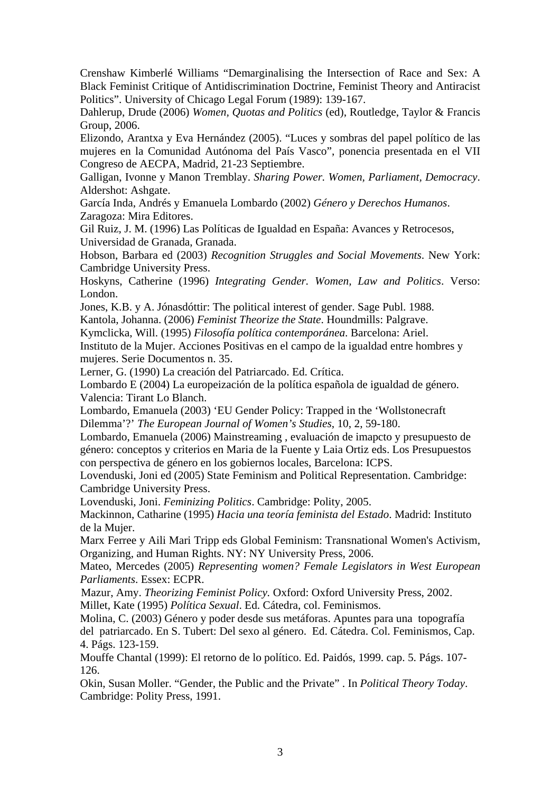Crenshaw Kimberlé Williams "Demarginalising the Intersection of Race and Sex: A Black Feminist Critique of Antidiscrimination Doctrine, Feminist Theory and Antiracist Politics". University of Chicago Legal Forum (1989): 139-167.

Dahlerup, Drude (2006) *Women, Quotas and Politics* (ed), Routledge, Taylor & Francis Group, 2006.

Elizondo, Arantxa y Eva Hernández (2005). "Luces y sombras del papel político de las mujeres en la Comunidad Autónoma del País Vasco", ponencia presentada en el VII Congreso de AECPA, Madrid, 21-23 Septiembre.

Galligan, Ivonne y Manon Tremblay. *Sharing Power. Women, Parliament, Democracy*. Aldershot: Ashgate.

García Inda, Andrés y Emanuela Lombardo (2002) *Género y Derechos Humanos*. Zaragoza: Mira Editores.

Gil Ruiz, J. M. (1996) Las Políticas de Igualdad en España: Avances y Retrocesos, Universidad de Granada, Granada.

Hobson, Barbara ed (2003) *Recognition Struggles and Social Movements*. New York: Cambridge University Press.

Hoskyns, Catherine (1996) *Integrating Gender. Women, Law and Politics*. Verso: London.

Jones, K.B. y A. Jónasdóttir: The political interest of gender. Sage Publ. 1988.

Kantola, Johanna. (2006) *Feminist Theorize the State*. Houndmills: Palgrave.

Kymclicka, Will. (1995) *Filosofía política contemporánea*. Barcelona: Ariel.

Instituto de la Mujer. Acciones Positivas en el campo de la igualdad entre hombres y mujeres. Serie Documentos n. 35.

Lerner, G. (1990) La creación del Patriarcado. Ed. Crítica.

Lombardo E (2004) La europeización de la política española de igualdad de género. Valencia: Tirant Lo Blanch.

Lombardo, Emanuela (2003) 'EU Gender Policy: Trapped in the 'Wollstonecraft Dilemma'?' *The European Journal of Women's Studies*, 10, 2, 59-180.

Lombardo, Emanuela (2006) Mainstreaming , evaluación de imapcto y presupuesto de género: conceptos y criterios en Maria de la Fuente y Laia Ortiz eds. Los Presupuestos con perspectiva de género en los gobiernos locales, Barcelona: ICPS.

Lovenduski, Joni ed (2005) State Feminism and Political Representation. Cambridge: Cambridge University Press.

Lovenduski, Joni. *Feminizing Politics*. Cambridge: Polity, 2005.

Mackinnon, Catharine (1995) *Hacia una teoría feminista del Estado*. Madrid: Instituto de la Mujer.

Marx Ferree y Aili Mari Tripp eds Global Feminism: Transnational Women's Activism, Organizing, and Human Rights. NY: NY University Press, 2006.

Mateo, Mercedes (2005) *Representing women? Female Legislators in West European Parliaments*. Essex: ECPR.

Mazur, Amy. *Theorizing Feminist Policy.* Oxford: Oxford University Press, 2002. Millet, Kate (1995) *Política Sexual*. Ed. Cátedra, col. Feminismos.

Molina, C. (2003) Género y poder desde sus metáforas. Apuntes para una topografía del patriarcado. En S. Tubert: Del sexo al género. Ed. Cátedra. Col. Feminismos, Cap. 4. Págs. 123-159.

Mouffe Chantal (1999): El retorno de lo político. Ed. Paidós, 1999. cap. 5. Págs. 107- 126.

Okin, Susan Moller. "Gender, the Public and the Private" . In *Political Theory Today*. Cambridge: Polity Press, 1991.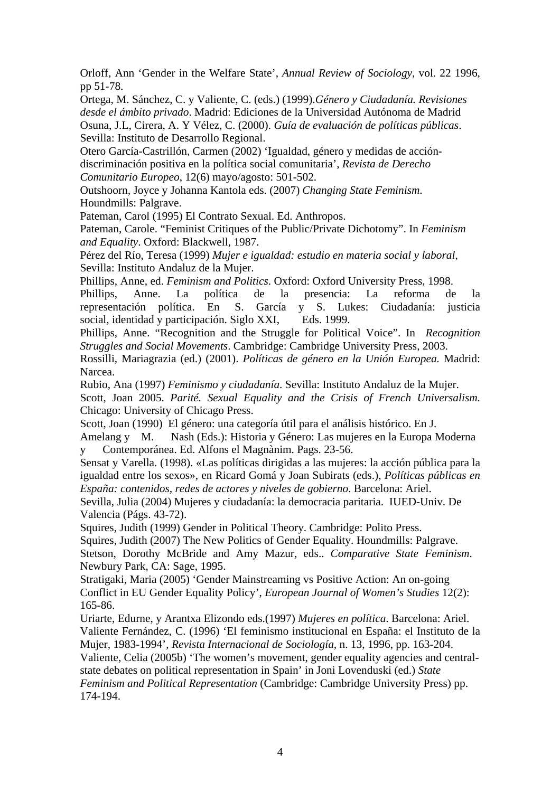Orloff, Ann 'Gender in the Welfare State', *Annual Review of Sociology*, vol. 22 1996, pp 51-78.

Ortega, M. Sánchez, C. y Valiente, C. (eds.) (1999).*Género y Ciudadanía. Revisiones desde el ámbito privado*. Madrid: Ediciones de la Universidad Autónoma de Madrid Osuna, J.L, Cirera, A. Y Vélez, C. (2000). *Guía de evaluación de políticas públicas*. Sevilla: Instituto de Desarrollo Regional.

Otero García-Castrillón, Carmen (2002) 'Igualdad, género y medidas de accióndiscriminación positiva en la política social comunitaria', *Revista de Derecho Comunitario Europeo*, 12(6) mayo/agosto: 501-502.

Outshoorn, Joyce y Johanna Kantola eds. (2007) *Changing State Feminism*. Houndmills: Palgrave.

Pateman, Carol (1995) El Contrato Sexual. Ed. Anthropos.

Pateman, Carole. "Feminist Critiques of the Public/Private Dichotomy". In *Feminism and Equality*. Oxford: Blackwell, 1987.

Pérez del Río, Teresa (1999) *Mujer e igualdad: estudio en materia social y laboral*, Sevilla: Instituto Andaluz de la Mujer.

Phillips, Anne, ed. *Feminism and Politics*. Oxford: Oxford University Press, 1998.

Phillips, Anne. La política de la presencia: La reforma de la representación política. En S. García y S. Lukes: Ciudadanía: justicia social, identidad y participación. Siglo XXI, Eds. 1999.

Phillips, Anne. "Recognition and the Struggle for Political Voice". In *Recognition Struggles and Social Movements*. Cambridge: Cambridge University Press, 2003.

Rossilli, Mariagrazia (ed.) (2001). *Políticas de género en la Unión Europea.* Madrid: Narcea.

Rubio, Ana (1997) *Feminismo y ciudadanía*. Sevilla: Instituto Andaluz de la Mujer. Scott, Joan 2005. *Parité. Sexual Equality and the Crisis of French Universalism.* Chicago: University of Chicago Press.

Scott, Joan (1990) El género: una categoría útil para el análisis histórico. En J. Amelang y M. Nash (Eds.): Historia y Género: Las mujeres en la Europa Moderna

y Contemporánea. Ed. Alfons el Magnànim. Pags. 23-56.

Sensat y Varella. (1998). «Las políticas dirigidas a las mujeres: la acción pública para la igualdad entre los sexos», en Ricard Gomá y Joan Subirats (eds.), *Políticas públicas en España: contenidos, redes de actores y niveles de gobierno*. Barcelona: Ariel.

Sevilla, Julia (2004) Mujeres y ciudadanía: la democracia paritaria. IUED-Univ. De Valencia (Págs. 43-72).

Squires, Judith (1999) Gender in Political Theory. Cambridge: Polito Press.

Squires, Judith (2007) The New Politics of Gender Equality. Houndmills: Palgrave. Stetson, Dorothy McBride and Amy Mazur, eds.. *Comparative State Feminism*. Newbury Park, CA: Sage, 1995.

Stratigaki, Maria (2005) 'Gender Mainstreaming vs Positive Action: An on-going Conflict in EU Gender Equality Policy', *European Journal of Women's Studies* 12(2): 165-86.

Uriarte, Edurne, y Arantxa Elizondo eds.(1997) *Mujeres en política*. Barcelona: Ariel. Valiente Fernández, C. (1996) 'El feminismo institucional en España: el Instituto de la Mujer, 1983-1994'*, Revista Internacional de Sociología*, n. 13, 1996, pp. 163-204.

Valiente, Celia (2005b) 'The women's movement, gender equality agencies and centralstate debates on political representation in Spain' in Joni Lovenduski (ed.) *State Feminism and Political Representation* (Cambridge: Cambridge University Press) pp. 174-194.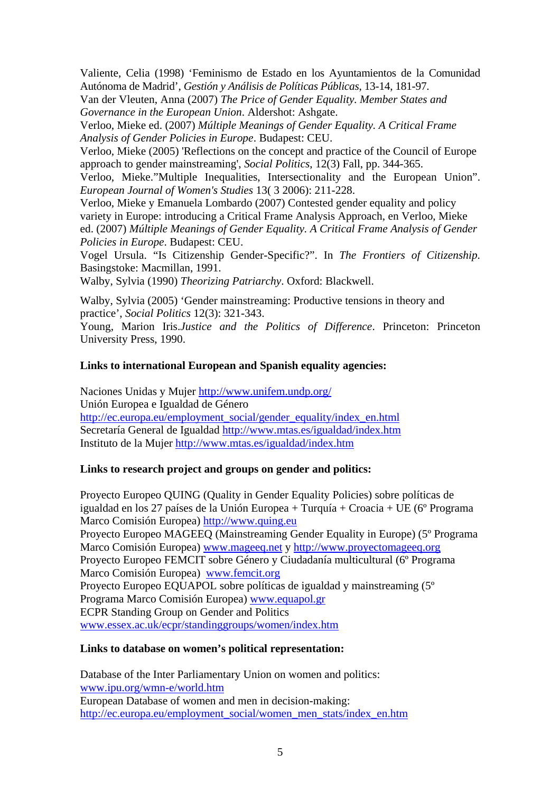Valiente, Celia (1998) 'Feminismo de Estado en los Ayuntamientos de la Comunidad Autónoma de Madrid', *Gestión y Análisis de Políticas Públicas*, 13-14, 181-97.

Van der Vleuten, Anna (2007) *The Price of Gender Equality. Member States and Governance in the European Union*. Aldershot: Ashgate.

Verloo, Mieke ed. (2007) *Múltiple Meanings of Gender Equality. A Critical Frame Analysis of Gender Policies in Europe*. Budapest: CEU.

Verloo, Mieke (2005) 'Reflections on the concept and practice of the Council of Europe approach to gender mainstreaming', *Social Politics*, 12(3) Fall, pp. 344-365.

Verloo, Mieke."Multiple Inequalities, Intersectionality and the European Union". *European Journal of Women's Studies* 13( 3 2006): 211-228.

Verloo, Mieke y Emanuela Lombardo (2007) Contested gender equality and policy variety in Europe: introducing a Critical Frame Analysis Approach, en Verloo, Mieke ed. (2007) *Múltiple Meanings of Gender Equality. A Critical Frame Analysis of Gender Policies in Europe*. Budapest: CEU.

Vogel Ursula. "Is Citizenship Gender-Specific?". In *The Frontiers of Citizenship*. Basingstoke: Macmillan, 1991.

Walby, Sylvia (1990) *Theorizing Patriarchy*. Oxford: Blackwell.

Walby, Sylvia (2005) 'Gender mainstreaming: Productive tensions in theory and practice', *Social Politics* 12(3): 321-343.

Young, Marion Iris.*Justice and the Politics of Difference*. Princeton: Princeton University Press, 1990.

# **Links to international European and Spanish equality agencies:**

Naciones Unidas y Mujer<http://www.unifem.undp.org/> Unión Europea e Igualdad de Género [http://ec.europa.eu/employment\\_social/gender\\_equality/index\\_en.html](http://ec.europa.eu/employment_social/gender_equality/index_en.html)  Secretaría General de Igualdad<http://www.mtas.es/igualdad/index.htm> Instituto de la Mujer<http://www.mtas.es/igualdad/index.htm>

# **Links to research project and groups on gender and politics:**

Proyecto Europeo QUING (Quality in Gender Equality Policies) sobre políticas de igualdad en los 27 países de la Unión Europea + Turquía + Croacia + UE (6º Programa Marco Comisión Europea) [http://www.quing.eu](http://www.quing.eu/) Proyecto Europeo MAGEEQ (Mainstreaming Gender Equality in Europe) (5º Programa Marco Comisión Europea) [www.mageeq.net](http://www.mageeq.net/) y [http://www.proyectomageeq.org](http://www.proyectomageeq.org/) Proyecto Europeo FEMCIT sobre Género y Ciudadanía multicultural (6º Programa Marco Comisión Europea) [www.femcit.org](http://www.femcit.org/) Proyecto Europeo EQUAPOL sobre políticas de igualdad y mainstreaming (5º Programa Marco Comisión Europea) [www.equapol.gr](http://www.equapol.gr/) ECPR Standing Group on Gender and Politics [www.essex.ac.uk/ecpr/standinggroups/women/index.htm](http://www.essex.ac.uk/ecpr/standinggroups/women/index.htm) 

# **Links to database on women's political representation:**

Database of the Inter Parliamentary Union on women and politics: [www.ipu.org/wmn-e/world.htm](http://www.ipu.org/wmn-e/world.htm) European Database of women and men in decision-making: [http://ec.europa.eu/employment\\_social/women\\_men\\_stats/index\\_en.htm](http://ec.europa.eu/employment_social/women_men_stats/index_en.htm)